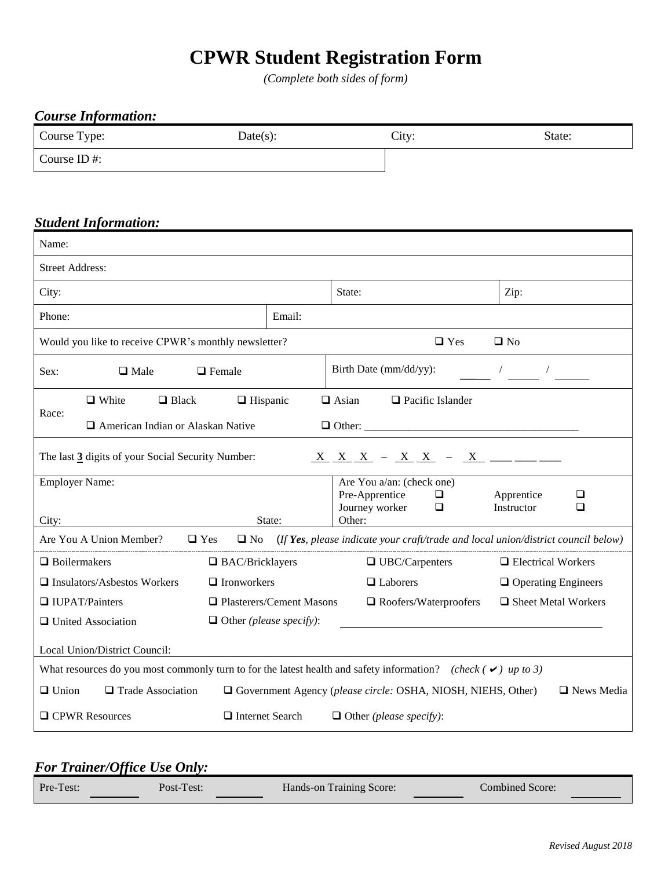## **CPWR Student Registration Form**

*(Complete both sides of form)*

| <b>Course Information:</b>                           |                                |                                                                                                                      |                                    |
|------------------------------------------------------|--------------------------------|----------------------------------------------------------------------------------------------------------------------|------------------------------------|
| Course Type:                                         | Date(s):                       |                                                                                                                      | State:                             |
| Course ID#:                                          |                                |                                                                                                                      |                                    |
|                                                      |                                |                                                                                                                      |                                    |
|                                                      |                                |                                                                                                                      |                                    |
| <b>Student Information:</b><br>Name:                 |                                |                                                                                                                      |                                    |
|                                                      |                                |                                                                                                                      |                                    |
| <b>Street Address:</b>                               |                                |                                                                                                                      |                                    |
| City:                                                |                                | State:                                                                                                               | Zip:                               |
| Phone:                                               | Email:                         |                                                                                                                      |                                    |
| Would you like to receive CPWR's monthly newsletter? |                                | $\Box$ Yes                                                                                                           | $\square$ No                       |
| $\Box$ Male<br>Sex:                                  | $\Box$ Female                  | Birth Date (mm/dd/yy):                                                                                               |                                    |
| $\Box$ White<br>$\Box$ Black                         | $\Box$ Hispanic                | $\Box$ Asian<br>$\Box$ Pacific Islander                                                                              |                                    |
| Race:<br>American Indian or Alaskan Native           |                                |                                                                                                                      |                                    |
| The last 3 digits of your Social Security Number:    |                                | $X$ $X$ $X$ - $X$ $X$ - $X$ - $X$ - $X$ - -                                                                          |                                    |
| <b>Employer Name:</b>                                |                                | Are You a/an: (check one)                                                                                            |                                    |
|                                                      |                                | Pre-Apprentice<br>$\Box$<br>◘                                                                                        | Apprentice<br>❏<br>Instructor<br>❏ |
| City:                                                | State:                         | Journey worker<br>Other:                                                                                             |                                    |
| Are You A Union Member?                              | $\Box$ Yes<br>$\Box$ No        | (If Yes, please indicate your craft/trade and local union/district council below)                                    |                                    |
| $\Box$ Boilermakers                                  | $\Box$ BAC/Bricklayers         | $\Box$ UBC/Carpenters                                                                                                | $\Box$ Electrical Workers          |
| $\Box$ Insulators/Asbestos Workers                   | $\Box$ Ironworkers             | □ Laborers                                                                                                           | $\Box$ Operating Engineers         |
| □ IUPAT/Painters                                     | □ Plasterers/Cement Masons     | $\Box$ Roofers/Waterproofers                                                                                         | □ Sheet Metal Workers              |
| <b>Q</b> United Association                          | $\Box$ Other (please specify): |                                                                                                                      |                                    |
| Local Union/District Council:                        |                                |                                                                                                                      |                                    |
|                                                      |                                | What resources do you most commonly turn to for the latest health and safety information? (check ( $\vee$ ) up to 3) |                                    |
| $\Box$ Union<br>$\Box$ Trade Association             |                                | $\Box$ Government Agency (please circle: OSHA, NIOSH, NIEHS, Other)                                                  | □ News Media                       |
| □ CPWR Resources                                     | $\Box$ Internet Search         | $\Box$ Other (please specify):                                                                                       |                                    |

### *For Trainer/Office Use Only:*

| Pre-Test: | Post-Test: | Hands-on Training Score: | Combined Score: |
|-----------|------------|--------------------------|-----------------|
|           |            |                          |                 |